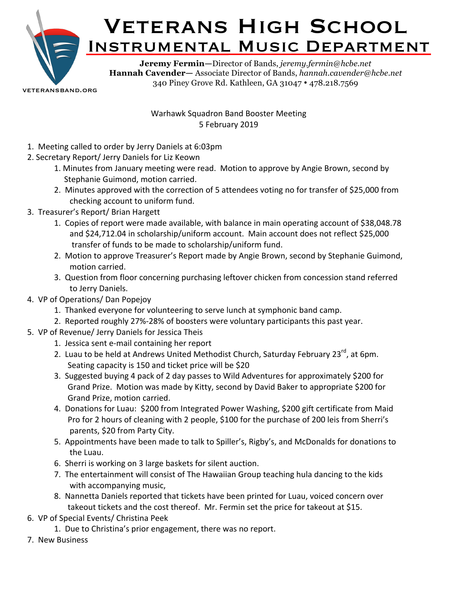

veteransband.org

Warhawk Squadron Band Booster Meeting 5 February 2019

- 1. Meeting called to order by Jerry Daniels at 6:03pm
- 2. Secretary Report/ Jerry Daniels for Liz Keown
	- 1. Minutes from January meeting were read. Motion to approve by Angie Brown, second by Stephanie Guimond, motion carried.
	- 2. Minutes approved with the correction of 5 attendees voting no for transfer of \$25,000 from checking account to uniform fund.
- 3. Treasurer's Report/ Brian Hargett
	- 1. Copies of report were made available, with balance in main operating account of \$38,048.78 and \$24,712.04 in scholarship/uniform account. Main account does not reflect \$25,000 transfer of funds to be made to scholarship/uniform fund.
	- 2. Motion to approve Treasurer's Report made by Angie Brown, second by Stephanie Guimond, motion carried.
	- 3. Question from floor concerning purchasing leftover chicken from concession stand referred to Jerry Daniels.
- 4. VP of Operations/ Dan Popejoy
	- 1. Thanked everyone for volunteering to serve lunch at symphonic band camp.
	- 2. Reported roughly 27%-28% of boosters were voluntary participants this past year.
- 5. VP of Revenue/ Jerry Daniels for Jessica Theis
	- 1. Jessica sent e-mail containing her report
	- 2. Luau to be held at Andrews United Methodist Church, Saturday February 23<sup>rd</sup>, at 6pm. Seating capacity is 150 and ticket price will be \$20
	- 3. Suggested buying 4 pack of 2 day passes to Wild Adventures for approximately \$200 for Grand Prize. Motion was made by Kitty, second by David Baker to appropriate \$200 for Grand Prize, motion carried.
	- 4. Donations for Luau: \$200 from Integrated Power Washing, \$200 gift certificate from Maid Pro for 2 hours of cleaning with 2 people, \$100 for the purchase of 200 leis from Sherri's parents, \$20 from Party City.
	- 5. Appointments have been made to talk to Spiller's, Rigby's, and McDonalds for donations to the Luau.
	- 6. Sherri is working on 3 large baskets for silent auction.
	- 7. The entertainment will consist of The Hawaiian Group teaching hula dancing to the kids with accompanying music,
	- 8. Nannetta Daniels reported that tickets have been printed for Luau, voiced concern over takeout tickets and the cost thereof. Mr. Fermin set the price for takeout at \$15.
- 6. VP of Special Events/ Christina Peek
	- 1. Due to Christina's prior engagement, there was no report.
- 7. New Business